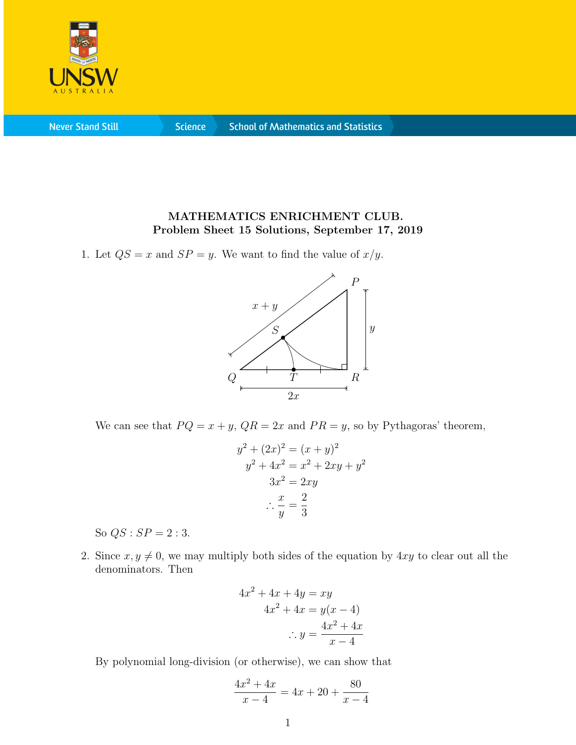

**Never Stand Still** 

**Science** 

## MATHEMATICS ENRICHMENT CLUB. Problem Sheet 15 Solutions, September 17, 2019

1. Let  $QS = x$  and  $SP = y$ . We want to find the value of  $x/y$ .



We can see that  $PQ = x + y$ ,  $QR = 2x$  and  $PR = y$ , so by Pythagoras' theorem,

$$
y2 + (2x)2 = (x + y)2
$$
  
\n
$$
y2 + 4x2 = x2 + 2xy + y2
$$
  
\n
$$
3x2 = 2xy
$$
  
\n
$$
\therefore \frac{x}{y} = \frac{2}{3}
$$

So  $QS : SP = 2 : 3$ .

2. Since  $x, y \neq 0$ , we may multiply both sides of the equation by 4xy to clear out all the denominators. Then

$$
4x2 + 4x + 4y = xy
$$
  

$$
4x2 + 4x = y(x - 4)
$$
  

$$
\therefore y = \frac{4x2 + 4x}{x - 4}
$$

By polynomial long-division (or otherwise), we can show that

$$
\frac{4x^2 + 4x}{x - 4} = 4x + 20 + \frac{80}{x - 4}
$$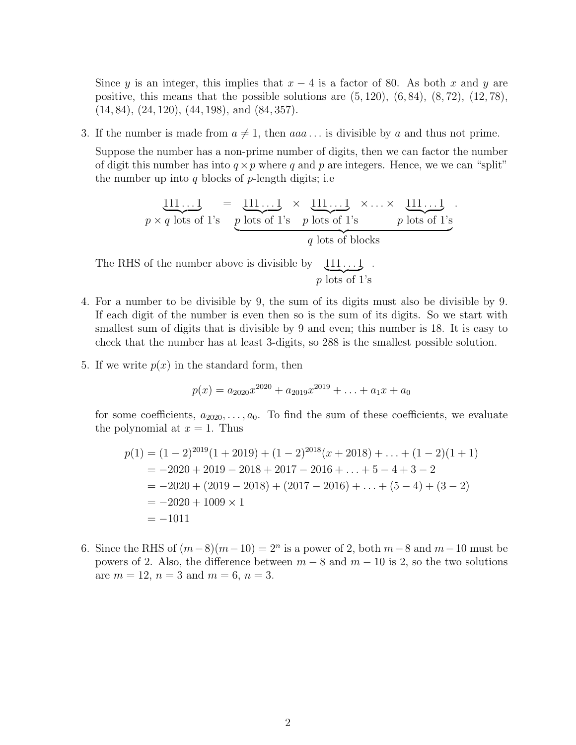Since y is an integer, this implies that  $x - 4$  is a factor of 80. As both x and y are positive, this means that the possible solutions are  $(5, 120)$ ,  $(6, 84)$ ,  $(8, 72)$ ,  $(12, 78)$ ,  $(14, 84), (24, 120), (44, 198), \text{ and } (84, 357).$ 

3. If the number is made from  $a \neq 1$ , then  $aaa \dots$  is divisible by a and thus not prime.

Suppose the number has a non-prime number of digits, then we can factor the number of digit this number has into  $q \times p$  where q and p are integers. Hence, we we can "split" the number up into q blocks of  $p$ -length digits; i.e

$$
\underbrace{111\ldots1}_{p \times q \text{ lots of 1's}} = \underbrace{111\ldots1}_{p \text{ lots of 1's}} \times \underbrace{111\ldots1}_{p \text{ lots of 1's}} \times \ldots \times \underbrace{111\ldots1}_{p \text{ lots of 1's}}
$$

.

The RHS of the number above is divisible by  $p$  lots of 1's  $111...1$ .

- 4. For a number to be divisible by 9, the sum of its digits must also be divisible by 9. If each digit of the number is even then so is the sum of its digits. So we start with smallest sum of digits that is divisible by 9 and even; this number is 18. It is easy to check that the number has at least 3-digits, so 288 is the smallest possible solution.
- 5. If we write  $p(x)$  in the standard form, then

$$
p(x) = a_{2020}x^{2020} + a_{2019}x^{2019} + \ldots + a_1x + a_0
$$

for some coefficients,  $a_{2020}, \ldots, a_0$ . To find the sum of these coefficients, we evaluate the polynomial at  $x = 1$ . Thus

$$
p(1) = (1 - 2)^{2019}(1 + 2019) + (1 - 2)^{2018}(x + 2018) + \dots + (1 - 2)(1 + 1)
$$
  
= -2020 + 2019 - 2018 + 2017 - 2016 + \dots + 5 - 4 + 3 - 2  
= -2020 + (2019 - 2018) + (2017 - 2016) + \dots + (5 - 4) + (3 - 2)  
= -2020 + 1009 \times 1  
= -1011

6. Since the RHS of  $(m-8)(m-10) = 2<sup>n</sup>$  is a power of 2, both  $m-8$  and  $m-10$  must be powers of 2. Also, the difference between  $m-8$  and  $m-10$  is 2, so the two solutions are  $m = 12$ ,  $n = 3$  and  $m = 6$ ,  $n = 3$ .